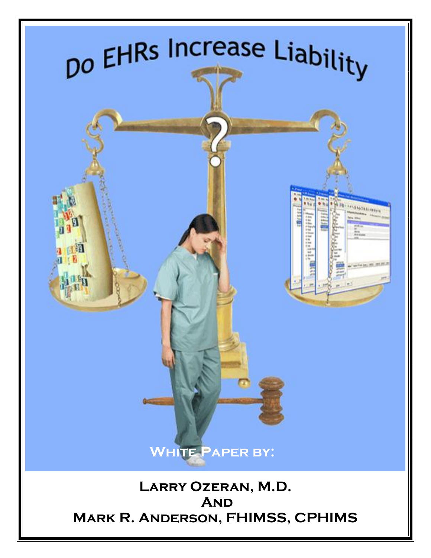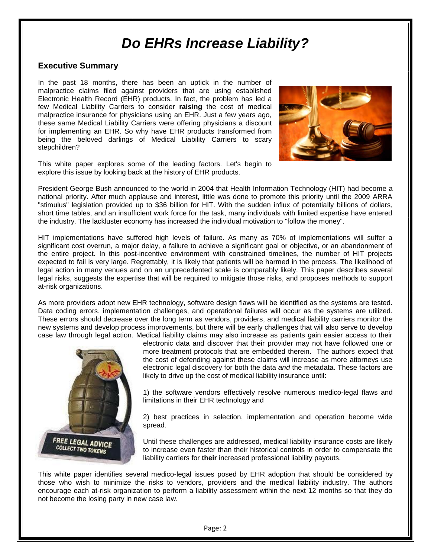### **Executive Summary**

In the past 18 months, there has been an uptick in the number of malpractice claims filed against providers that are using established Electronic Health Record (EHR) products. In fact, the problem has led a few Medical Liability Carriers to consider **raising** the cost of medical malpractice insurance for physicians using an EHR. Just a few years ago, these same Medical Liability Carriers were offering physicians a discount for implementing an EHR. So why have EHR products transformed from being the beloved darlings of Medical Liability Carriers to scary stepchildren?



This white paper explores some of the leading factors. Let's begin to explore this issue by looking back at the history of EHR products.

President George Bush announced to the world in 2004 that Health Information Technology (HIT) had become a national priority. After much applause and interest, little was done to promote this priority until the 2009 ARRA "stimulus" legislation provided up to \$36 billion for HIT. With the sudden influx of potentially billions of dollars, short time tables, and an insufficient work force for the task, many individuals with limited expertise have entered the industry. The lackluster economy has increased the individual motivation to "follow the money".

HIT implementations have suffered high levels of failure. As many as 70% of implementations will suffer a significant cost overrun, a major delay, a failure to achieve a significant goal or objective, or an abandonment of the entire project. In this post-incentive environment with constrained timelines, the number of HIT projects expected to fail is very large. Regrettably, it is likely that patients will be harmed in the process. The likelihood of legal action in many venues and on an unprecedented scale is comparably likely. This paper describes several legal risks, suggests the expertise that will be required to mitigate those risks, and proposes methods to support at-risk organizations.

As more providers adopt new EHR technology, software design flaws will be identified as the systems are tested. Data coding errors, implementation challenges, and operational failures will occur as the systems are utilized. These errors should decrease over the long term as vendors, providers, and medical liability carriers monitor the new systems and develop process improvements, but there will be early challenges that will also serve to develop case law through legal action. Medical liability claims may also increase as patients gain easier access to their



electronic data and discover that their provider may not have followed one or more treatment protocols that are embedded therein. The authors expect that the cost of defending against these claims will increase as more attorneys use electronic legal discovery for both the data *and* the metadata. These factors are likely to drive up the cost of medical liability insurance until:

1) the software vendors effectively resolve numerous medico-legal flaws and limitations in their EHR technology and

2) best practices in selection, implementation and operation become wide spread.

Until these challenges are addressed, medical liability insurance costs are likely to increase even faster than their historical controls in order to compensate the liability carriers for **their** increased professional liability payouts.

This white paper identifies several medico-legal issues posed by EHR adoption that should be considered by those who wish to minimize the risks to vendors, providers and the medical liability industry. The authors encourage each at-risk organization to perform a liability assessment within the next 12 months so that they do not become the losing party in new case law.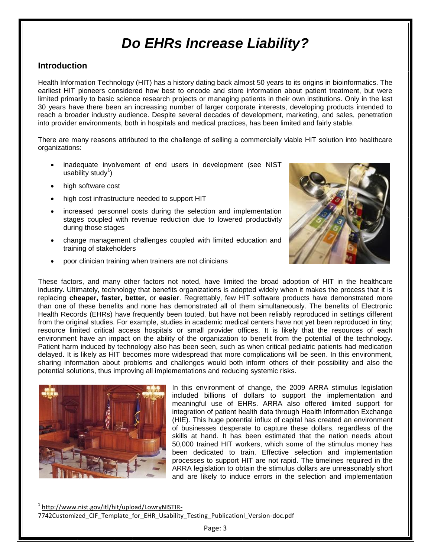### **Introduction**

Health Information Technology (HIT) has a history dating back almost 50 years to its origins in bioinformatics. The earliest HIT pioneers considered how best to encode and store information about patient treatment, but were limited primarily to basic science research projects or managing patients in their own institutions. Only in the last 30 years have there been an increasing number of larger corporate interests, developing products intended to reach a broader industry audience. Despite several decades of development, marketing, and sales, penetration into provider environments, both in hospitals and medical practices, has been limited and fairly stable.

There are many reasons attributed to the challenge of selling a commercially viable HIT solution into healthcare organizations:

- inadequate involvement of end users in development (see NIST usability study<sup>1</sup>)
- high software cost
- high cost infrastructure needed to support HIT
- increased personnel costs during the selection and implementation stages coupled with revenue reduction due to lowered productivity during those stages
- change management challenges coupled with limited education and training of stakeholders
- poor clinician training when trainers are not clinicians



These factors, and many other factors not noted, have limited the broad adoption of HIT in the healthcare industry. Ultimately, technology that benefits organizations is adopted widely when it makes the process that it is replacing **cheaper, faster, better,** or **easier**. Regrettably, few HIT software products have demonstrated more than one of these benefits and none has demonstrated all of them simultaneously. The benefits of Electronic Health Records (EHRs) have frequently been touted, but have not been reliably reproduced in settings different from the original studies. For example, studies in academic medical centers have not yet been reproduced in tiny; resource limited critical access hospitals or small provider offices. It is likely that the resources of each environment have an impact on the ability of the organization to benefit from the potential of the technology. Patient harm induced by technology also has been seen, such as when critical pediatric patients had medication delayed. It is likely as HIT becomes more widespread that more complications will be seen. In this environment, sharing information about problems and challenges would both inform others of their possibility and also the potential solutions, thus improving all implementations and reducing systemic risks.



l

In this environment of change, the 2009 ARRA stimulus legislation included billions of dollars to support the implementation and meaningful use of EHRs. ARRA also offered limited support for integration of patient health data through Health Information Exchange (HIE). This huge potential influx of capital has created an environment of businesses desperate to capture these dollars, regardless of the skills at hand. It has been estimated that the nation needs about 50,000 trained HIT workers, which some of the stimulus money has been dedicated to train. Effective selection and implementation processes to support HIT are not rapid. The timelines required in the ARRA legislation to obtain the stimulus dollars are unreasonably short and are likely to induce errors in the selection and implementation

1 [http://www.nist.gov/itl/hit/upload/LowryNISTIR-](http://www.nist.gov/itl/hit/upload/LowryNISTIR-7742Customized_CIF_Template_for_EHR_Usability_Testing_Publicationl_Version-doc.pdf)7742Customized CIF Template for EHR Usability Testing Publicationl Version-doc.pdf

Page: 3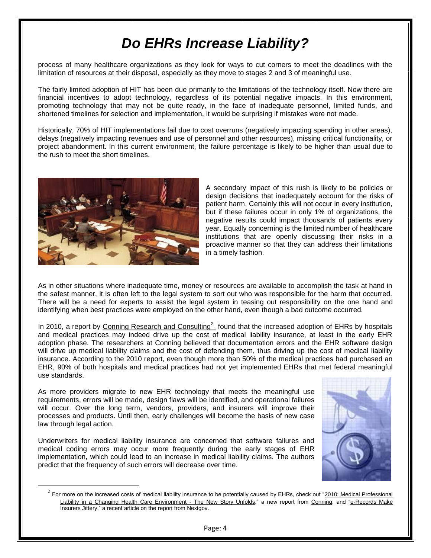process of many healthcare organizations as they look for ways to cut corners to meet the deadlines with the limitation of resources at their disposal, especially as they move to stages 2 and 3 of meaningful use.

The fairly limited adoption of HIT has been due primarily to the limitations of the technology itself. Now there are financial incentives to adopt technology, regardless of its potential negative impacts. In this environment, promoting technology that may not be quite ready, in the face of inadequate personnel, limited funds, and shortened timelines for selection and implementation, it would be surprising if mistakes were not made.

Historically, 70% of HIT implementations fail due to cost overruns (negatively impacting spending in other areas), delays (negatively impacting revenues and use of personnel and other resources), missing critical functionality, or project abandonment. In this current environment, the failure percentage is likely to be higher than usual due to the rush to meet the short timelines.



 $\overline{\phantom{a}}$ 

A secondary impact of this rush is likely to be policies or design decisions that inadequately account for the risks of patient harm. Certainly this will not occur in every institution, but if these failures occur in only 1% of organizations, the negative results could impact thousands of patients every year. Equally concerning is the limited number of healthcare institutions that are openly discussing their risks in a proactive manner so that they can address their limitations in a timely fashion.

As in other situations where inadequate time, money or resources are available to accomplish the task at hand in the safest manner, it is often left to the legal system to sort out who was responsible for the harm that occurred. There will be a need for experts to assist the legal system in teasing out responsibility on the one hand and identifying when best practices were employed on the other hand, even though a bad outcome occurred.

In 2010, a report by [Conning Research and Consulting](http://www.conning.com/conning-research.html)<sup>2</sup> found that the increased adoption of EHRs by hospitals and medical practices may indeed drive up the cost of medical liability insurance, at least in the early EHR adoption phase. The researchers at Conning believed that documentation errors and the EHR software design will drive up medical liability claims and the cost of defending them, thus driving up the cost of medical liability insurance. According to the 2010 report, even though more than 50% of the medical practices had purchased an EHR, 90% of both hospitals and medical practices had not yet implemented EHRs that met federal meaningful use standards.

As more providers migrate to new EHR technology that meets the meaningful use requirements, errors will be made, design flaws will be identified, and operational failures will occur. Over the long term, vendors, providers, and insurers will improve their processes and products. Until then, early challenges will become the basis of new case law through legal action.

Underwriters for medical liability insurance are concerned that software failures and medical coding errors may occur more frequently during the early stages of EHR implementation, which could lead to an increase in medical liability claims. The authors predict that the frequency of such errors will decrease over time.



 $^2$  For more on the increased costs of medical liability insurance to be potentially caused by EHRs, check out "2010: Medical Professional [Liability in a Changing Health Care Environment -](http://www.conning.com/viewpublications-article.aspx?id=5187) The New Story Unfolds," a new report from [Conning,](http://www.conning.com/) and "e-Records Make [Insurers Jittery,](http://healthitupdate.nextgov.com/2010/11/insurers_jittery_over_emr_errors.php)" a recent article on the report fro[m Nextgov.](http://www.nextgov.com/)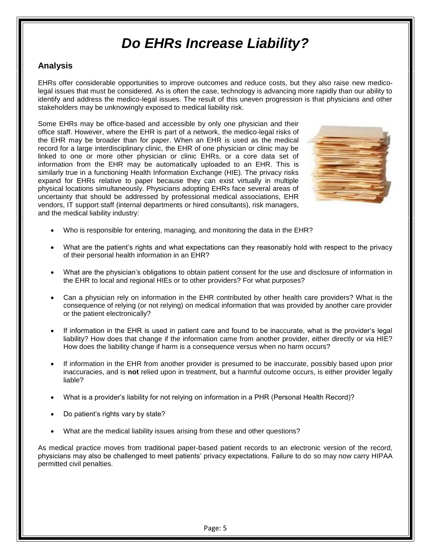### **Analysis**

EHRs offer considerable opportunities to improve outcomes and reduce costs, but they also raise new medicolegal issues that must be considered. As is often the case, technology is advancing more rapidly than our ability to identify and address the medico-legal issues. The result of this uneven progression is that physicians and other stakeholders may be unknowingly exposed to medical liability risk.

Some EHRs may be office-based and accessible by only one physician and their office staff. However, where the EHR is part of a network, the medico-legal risks of the EHR may be broader than for paper. When an EHR is used as the medical record for a large interdisciplinary clinic, the EHR of one physician or clinic may be linked to one or more other physician or clinic EHRs, or a core data set of information from the EHR may be automatically uploaded to an EHR. This is similarly true in a functioning Health Information Exchange (HIE). The privacy risks expand for EHRs relative to paper because they can exist virtually in multiple physical locations simultaneously. Physicians adopting EHRs face several areas of uncertainty that should be addressed by professional medical associations, EHR vendors, IT support staff (internal departments or hired consultants), risk managers, and the medical liability industry:



- Who is responsible for entering, managing, and monitoring the data in the EHR?
- What are the patient's rights and what expectations can they reasonably hold with respect to the privacy of their personal health information in an EHR?
- What are the physician's obligations to obtain patient consent for the use and disclosure of information in the EHR to local and regional HIEs or to other providers? For what purposes?
- Can a physician rely on information in the EHR contributed by other health care providers? What is the consequence of relying (or not relying) on medical information that was provided by another care provider or the patient electronically?
- If information in the EHR is used in patient care and found to be inaccurate, what is the provider's legal liability? How does that change if the information came from another provider, either directly or via HIE? How does the liability change if harm is a consequence versus when no harm occurs?
- If information in the EHR from another provider is presumed to be inaccurate, possibly based upon prior inaccuracies, and is **not** relied upon in treatment, but a harmful outcome occurs, is either provider legally liable?
- What is a provider's liability for not relying on information in a PHR (Personal Health Record)?
- Do patient's rights vary by state?
- What are the medical liability issues arising from these and other questions?

As medical practice moves from traditional paper-based patient records to an electronic version of the record, physicians may also be challenged to meet patients' privacy expectations. Failure to do so may now carry HIPAA permitted civil penalties.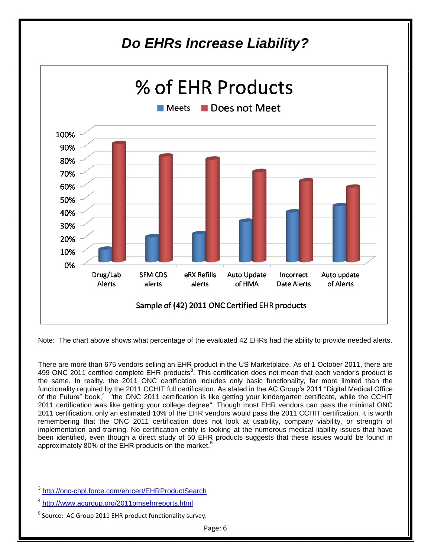

Note: The chart above shows what percentage of the evaluated 42 EHRs had the ability to provide needed alerts.

There are more than 675 vendors selling an EHR product in the US Marketplace. As of 1 October 2011, there are 499 ONC 2011 certified complete EHR products<sup>3</sup>. This certification does not mean that each vendor's product is the same. In reality, the 2011 ONC certification includes only basic functionality, far more limited than the functionality required by the 2011 CCHIT full certification. As stated in the AC Group's 2011 "Digital Medical Office of the Future" book,<sup>4 "</sup>the ONC 2011 certification is like getting your kindergarten certificate, while the CCHIT 2011 certification was like getting your college degree". Though most EHR vendors can pass the minimal ONC 2011 certification, only an estimated 10% of the EHR vendors would pass the 2011 CCHIT certification. It is worth remembering that the ONC 2011 certification does not look at usability, company viability, or strength of implementation and training. No certification entity is looking at the numerous medical liability issues that have been identified, even though a direct study of 50 EHR products suggests that these issues would be found in approximately 80% of the EHR products on the market.<sup>5</sup>

 $\overline{\phantom{a}}$ 

<sup>3</sup> <http://onc-chpl.force.com/ehrcert/EHRProductSearch>

<sup>&</sup>lt;sup>4</sup> <http://www.acgroup.org/2011pmsehrreports.html>

<sup>&</sup>lt;sup>5</sup> Source: AC Group 2011 EHR product functionality survey.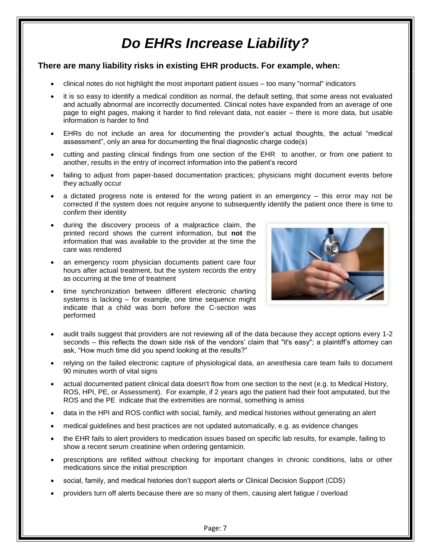#### **There are many liability risks in existing EHR products. For example, when:**

- clinical notes do not highlight the most important patient issues too many "normal" indicators
- it is so easy to identify a medical condition as normal, the default setting, that some areas not evaluated and actually abnormal are incorrectly documented. Clinical notes have expanded from an average of one page to eight pages, making it harder to find relevant data, not easier – there is more data, but usable information is harder to find
- EHRs do not include an area for documenting the provider's actual thoughts, the actual "medical assessment", only an area for documenting the final diagnostic charge code(s)
- cutting and pasting clinical findings from one section of the EHR to another, or from one patient to another, results in the entry of incorrect information into the patient's record
- failing to adjust from paper-based documentation practices; physicians might document events before they actually occur
- a dictated progress note is entered for the wrong patient in an emergency this error may not be corrected if the system does not require anyone to subsequently identify the patient once there is time to confirm their identity
- during the discovery process of a malpractice claim, the printed record shows the current information, but **not** the information that was available to the provider at the time the care was rendered
- an emergency room physician documents patient care four hours after actual treatment, but the system records the entry as occurring at the time of treatment
- time synchronization between different electronic charting systems is lacking – for example, one time sequence might indicate that a child was born before the C-section was performed



- audit trails suggest that providers are not reviewing all of the data because they accept options every 1-2 seconds – this reflects the down side risk of the vendors' claim that "it's easy"; a plaintiff's attorney can ask, "How much time did you spend looking at the results?"
- relying on the failed electronic capture of physiological data, an anesthesia care team fails to document 90 minutes worth of vital signs
- actual documented patient clinical data doesn't flow from one section to the next (e.g. to Medical History, ROS, HPI, PE, or Assessment). For example, if 2 years ago the patient had their foot amputated, but the ROS and the PE indicate that the extremities are normal, something is amiss
- data in the HPI and ROS conflict with social, family, and medical histories without generating an alert
- medical guidelines and best practices are not updated automatically, e.g. as evidence changes
- the EHR fails to alert providers to medication issues based on specific lab results, for example, failing to show a recent serum creatinine when ordering gentamicin.
- prescriptions are refilled without checking for important changes in chronic conditions, labs or other medications since the initial prescription
- social, family, and medical histories don't support alerts or Clinical Decision Support (CDS)
- providers turn off alerts because there are so many of them, causing alert fatigue / overload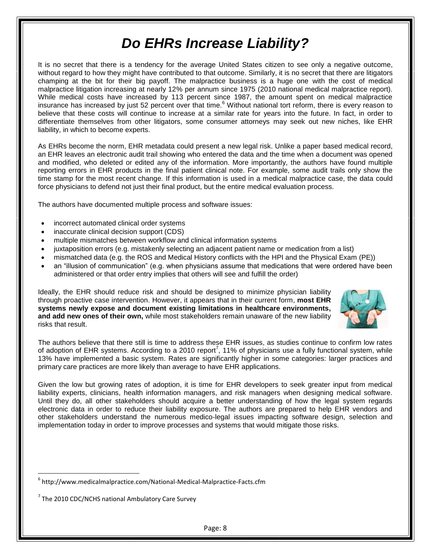It is no secret that there is a tendency for the average United States citizen to see only a negative outcome, without regard to how they might have contributed to that outcome. Similarly, it is no secret that there are litigators champing at the bit for their big payoff. The malpractice business is a huge one with the cost of medical malpractice litigation increasing at nearly 12% per annum since 1975 (2010 national medical malpractice report). While medical costs have increased by 113 percent since 1987, the amount spent on medical malpractice insurance has increased by just 52 percent over that time.<sup>6</sup> Without national tort reform, there is every reason to believe that these costs will continue to increase at a similar rate for years into the future. In fact, in order to differentiate themselves from other litigators, some consumer attorneys may seek out new niches, like EHR liability, in which to become experts.

As EHRs become the norm, EHR metadata could present a new legal risk. Unlike a paper based medical record, an EHR leaves an electronic audit trail showing who entered the data and the time when a document was opened and modified, who deleted or edited any of the information. More importantly, the authors have found multiple reporting errors in EHR products in the final patient clinical note. For example, some audit trails only show the time stamp for the most recent change. If this information is used in a medical malpractice case, the data could force physicians to defend not just their final product, but the entire medical evaluation process.

The authors have documented multiple process and software issues:

- incorrect automated clinical order systems
- inaccurate clinical decision support (CDS)
- multiple mismatches between workflow and clinical information systems
- juxtaposition errors (e.g. mistakenly selecting an adjacent patient name or medication from a list)
- mismatched data (e.g. the ROS and Medical History conflicts with the HPI and the Physical Exam (PE))
- an "illusion of communication" (e.g. when physicians assume that medications that were ordered have been administered or that order entry implies that others will see and fulfill the order)

Ideally, the EHR should reduce risk and should be designed to minimize physician liability through proactive case intervention. However, it appears that in their current form, **most EHR systems newly expose and document existing limitations in healthcare environments, and add new ones of their own,** while most stakeholders remain unaware of the new liability risks that result.



The authors believe that there still is time to address these EHR issues, as studies continue to confirm low rates of adoption of EHR systems. According to a 2010 report<sup>7</sup>, 11% of physicians use a fully functional system, while 13% have implemented a basic system. Rates are significantly higher in some categories: larger practices and primary care practices are more likely than average to have EHR applications.

Given the low but growing rates of adoption, it is time for EHR developers to seek greater input from medical liability experts, clinicians, health information managers, and risk managers when designing medical software. Until they do, all other stakeholders should acquire a better understanding of how the legal system regards electronic data in order to reduce their liability exposure. The authors are prepared to help EHR vendors and other stakeholders understand the numerous medico-legal issues impacting software design, selection and implementation today in order to improve processes and systems that would mitigate those risks.

 $\overline{\phantom{a}}$ 

<sup>6</sup> http://www.medicalmalpractice.com/National-Medical-Malpractice-Facts.cfm

 $^7$  The 2010 CDC/NCHS national Ambulatory Care Survey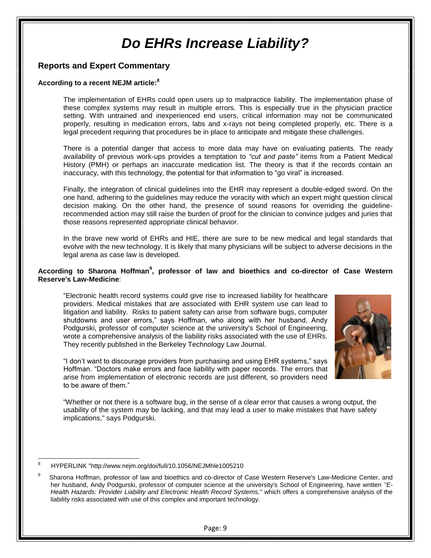### **Reports and Expert Commentary**

#### **According to a recent NEJM article:<sup>8</sup>**

The implementation of EHRs could open users up to malpractice liability. The implementation phase of these complex systems may result in multiple errors. This is especially true in the physician practice setting. With untrained and inexperienced end users, critical information may not be communicated properly, resulting in medication errors, labs and x-rays not being completed properly, etc. There is a legal precedent requiring that procedures be in place to anticipate and mitigate these challenges.

There is a potential danger that access to more data may have on evaluating patients. The ready availability of previous work-ups provides a temptation to *"cut and paste"* items from a Patient Medical History (PMH) or perhaps an inaccurate medication list. The theory is that if the records contain an inaccuracy, with this technology, the potential for that information to "go viral" is increased.

Finally, the integration of clinical guidelines into the EHR may represent a double-edged sword. On the one hand, adhering to the guidelines may reduce the voracity with which an expert might question clinical decision making. On the other hand, the presence of sound reasons for overriding the guidelinerecommended action may still raise the burden of proof for the clinician to convince judges and juries that those reasons represented appropriate clinical behavior.

In the brave new world of EHRs and HIE, there are sure to be new medical and legal standards that evolve with the new technology. It is likely that many physicians will be subject to adverse decisions in the legal arena as case law is developed.

#### **According to Sharona Hoffman<sup>9</sup> , professor of law and bioethics and co-director of Case Western Reserve's Law-Medicine**:

―Electronic health record systems could give rise to increased liability for healthcare providers. Medical mistakes that are associated with EHR system use can lead to litigation and liability. Risks to patient safety can arise from software bugs, computer shutdowns and user errors," says Hoffman, who along with her husband, Andy Podgurski, professor of computer science at the university's School of Engineering, wrote a comprehensive analysis of the liability risks associated with the use of EHRs. They recently published in the Berkeley Technology Law Journal.



"I don't want to discourage providers from purchasing and using EHR systems," says Hoffman. "Doctors make errors and face liability with paper records. The errors that arise from implementation of electronic records are just different, so providers need to be aware of them."

"Whether or not there is a software bug, in the sense of a clear error that causes a wrong output, the usability of the system may be lacking, and that may lead a user to make mistakes that have safety implications," says Podgurski.

 $\overline{\phantom{a}}$ 8 HYPERLINK "http://www.nejm.org/doi/full/10.1056/NEJMhle1005210

<sup>9</sup> Sharona Hoffman, professor of law and bioethics and co-director of Case Western Reserve's Law-Medicine Center, and her husband, Andy Podgurski, professor of computer science at the university's School of Engineering, have written *"E-Health Hazards: Provider Liability and Electronic Health Record Systems,"* which offers a comprehensive analysis of the liability risks associated with use of this complex and important technology.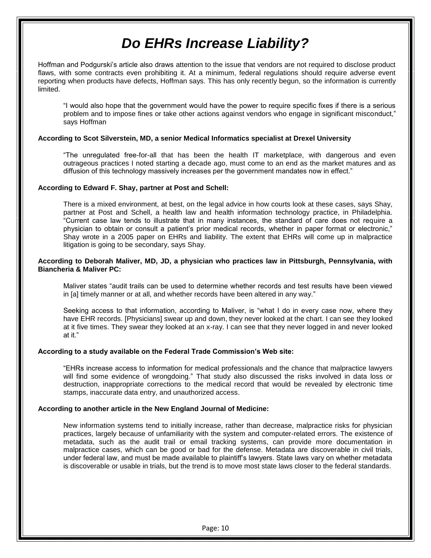Hoffman and Podgurski's article also draws attention to the issue that vendors are not required to disclose product flaws, with some contracts even prohibiting it. At a minimum, federal regulations should require adverse event reporting when products have defects, Hoffman says. This has only recently begun, so the information is currently limited.

―I would also hope that the government would have the power to require specific fixes if there is a serious problem and to impose fines or take other actions against vendors who engage in significant misconduct," says Hoffman

#### **According to Scot Silverstein, MD, a senior Medical Informatics specialist at Drexel University**

"The unregulated free-for-all that has been the health IT marketplace, with dangerous and even outrageous practices I noted starting a decade ago, must come to an end as the market matures and as diffusion of this technology massively increases per the government mandates now in effect."

#### **According to Edward F. Shay, partner at Post and Schell:**

There is a mixed environment, at best, on the legal advice in how courts look at these cases, says Shay, partner at Post and Schell, a health law and health information technology practice, in Philadelphia. ―Current case law tends to illustrate that in many instances, the standard of care does not require a physician to obtain or consult a patient's prior medical records, whether in paper format or electronic," Shay wrote in a 2005 paper on EHRs and liability. The extent that EHRs will come up in malpractice litigation is going to be secondary, says Shay.

#### **According to Deborah Maliver, MD, JD, a physician who practices law in Pittsburgh, Pennsylvania, with Biancheria & Maliver PC:**

Maliver states "audit trails can be used to determine whether records and test results have been viewed in [a] timely manner or at all, and whether records have been altered in any way."

Seeking access to that information, according to Maliver, is "what I do in every case now, where they have EHR records. [Physicians] swear up and down, they never looked at the chart. I can see they looked at it five times. They swear they looked at an x-ray. I can see that they never logged in and never looked at it."

#### **According to a study available on the Federal Trade Commission's Web site:**

―EHRs increase access to information for medical professionals and the chance that malpractice lawyers will find some evidence of wrongdoing." That study also discussed the risks involved in data loss or destruction, inappropriate corrections to the medical record that would be revealed by electronic time stamps, inaccurate data entry, and unauthorized access.

#### **According to another article in the New England Journal of Medicine:**

New information systems tend to initially increase, rather than decrease, malpractice risks for physician practices, largely because of unfamiliarity with the system and computer-related errors. The existence of metadata, such as the audit trail or email tracking systems, can provide more documentation in malpractice cases, which can be good or bad for the defense. Metadata are discoverable in civil trials, under federal law, and must be made available to plaintiff's lawyers. State laws vary on whether metadata is discoverable or usable in trials, but the trend is to move most state laws closer to the federal standards.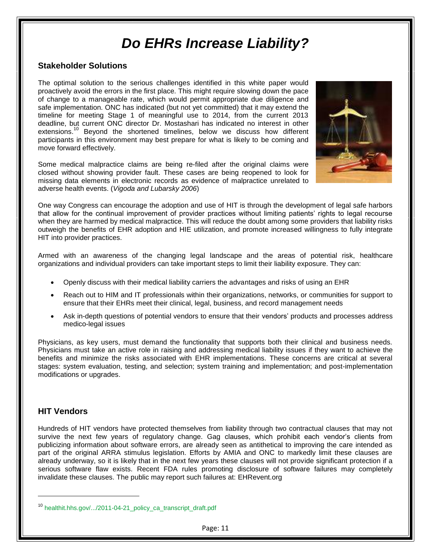### **Stakeholder Solutions**

The optimal solution to the serious challenges identified in this white paper would proactively avoid the errors in the first place. This might require slowing down the pace of change to a manageable rate, which would permit appropriate due diligence and safe implementation. ONC has indicated (but not yet committed) that it may extend the timeline for meeting Stage 1 of meaningful use to 2014, from the current 2013 deadline, but current ONC director Dr. Mostashari has indicated no interest in other extensions.<sup>10</sup> Beyond the shortened timelines, below we discuss how different participants in this environment may best prepare for what is likely to be coming and move forward effectively.

Some medical malpractice claims are being re-filed after the original claims were closed without showing provider fault. These cases are being reopened to look for missing data elements in electronic records as evidence of malpractice unrelated to adverse health events. (*Vigoda and Lubarsky 2006*)



One way Congress can encourage the adoption and use of HIT is through the development of legal safe harbors that allow for the continual improvement of provider practices without limiting patients' rights to legal recourse when they are harmed by medical malpractice. This will reduce the doubt among some providers that liability risks outweigh the benefits of EHR adoption and HIE utilization, and promote increased willingness to fully integrate HIT into provider practices.

Armed with an awareness of the changing legal landscape and the areas of potential risk, healthcare organizations and individual providers can take important steps to limit their liability exposure. They can:

- Openly discuss with their medical liability carriers the advantages and risks of using an EHR
- Reach out to HIM and IT professionals within their organizations, networks, or communities for support to ensure that their EHRs meet their clinical, legal, business, and record management needs
- Ask in-depth questions of potential vendors to ensure that their vendors' products and processes address medico-legal issues

Physicians, as key users, must demand the functionality that supports both their clinical and business needs. Physicians must take an active role in raising and addressing medical liability issues if they want to achieve the benefits and minimize the risks associated with EHR implementations. These concerns are critical at several stages: system evaluation, testing, and selection; system training and implementation; and post-implementation modifications or upgrades.

### **HIT Vendors**

 $\overline{a}$ 

Hundreds of HIT vendors have protected themselves from liability through two contractual clauses that may not survive the next few years of regulatory change. Gag clauses, which prohibit each vendor's clients from publicizing information about software errors, are already seen as antithetical to improving the care intended as part of the original ARRA stimulus legislation. Efforts by AMIA and ONC to markedly limit these clauses are already underway, so it is likely that in the next few years these clauses will not provide significant protection if a serious software flaw exists. Recent FDA rules promoting disclosure of software failures may completely invalidate these clauses. The public may report such failures at: EHRevent.org

<sup>&</sup>lt;sup>10</sup> healthit.hhs.gov/.../2011-04-21\_policy\_ca\_transcript\_draft.pdf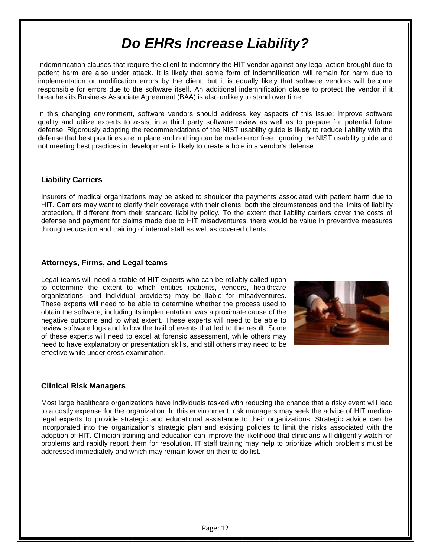Indemnification clauses that require the client to indemnify the HIT vendor against any legal action brought due to patient harm are also under attack. It is likely that some form of indemnification will remain for harm due to implementation or modification errors by the client, but it is equally likely that software vendors will become responsible for errors due to the software itself. An additional indemnification clause to protect the vendor if it breaches its Business Associate Agreement (BAA) is also unlikely to stand over time.

In this changing environment, software vendors should address key aspects of this issue: improve software quality and utilize experts to assist in a third party software review as well as to prepare for potential future defense. Rigorously adopting the recommendations of the NIST usability guide is likely to reduce liability with the defense that best practices are in place and nothing can be made error free. Ignoring the NIST usability guide and not meeting best practices in development is likely to create a hole in a vendor's defense.

#### **Liability Carriers**

Insurers of medical organizations may be asked to shoulder the payments associated with patient harm due to HIT. Carriers may want to clarify their coverage with their clients, both the circumstances and the limits of liability protection, if different from their standard liability policy. To the extent that liability carriers cover the costs of defense and payment for claims made due to HIT misadventures, there would be value in preventive measures through education and training of internal staff as well as covered clients.

#### **Attorneys, Firms, and Legal teams**

Legal teams will need a stable of HIT experts who can be reliably called upon to determine the extent to which entities (patients, vendors, healthcare organizations, and individual providers) may be liable for misadventures. These experts will need to be able to determine whether the process used to obtain the software, including its implementation, was a proximate cause of the negative outcome and to what extent. These experts will need to be able to review software logs and follow the trail of events that led to the result. Some of these experts will need to excel at forensic assessment, while others may need to have explanatory or presentation skills, and still others may need to be effective while under cross examination.



#### **Clinical Risk Managers**

Most large healthcare organizations have individuals tasked with reducing the chance that a risky event will lead to a costly expense for the organization. In this environment, risk managers may seek the advice of HIT medicolegal experts to provide strategic and educational assistance to their organizations. Strategic advice can be incorporated into the organization's strategic plan and existing policies to limit the risks associated with the adoption of HIT. Clinician training and education can improve the likelihood that clinicians will diligently watch for problems and rapidly report them for resolution. IT staff training may help to prioritize which problems must be addressed immediately and which may remain lower on their to-do list.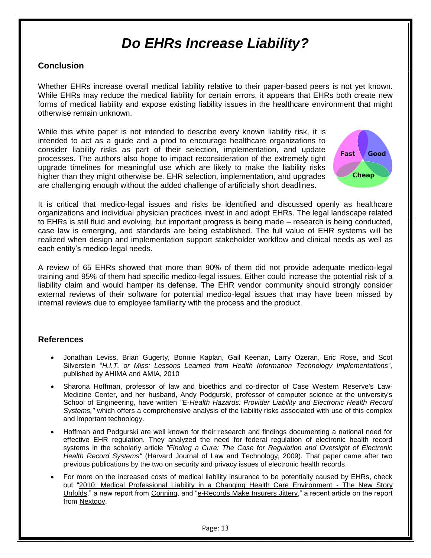### **Conclusion**

Whether EHRs increase overall medical liability relative to their paper-based peers is not yet known. While EHRs may reduce the medical liability for certain errors, it appears that EHRs both create new forms of medical liability and expose existing liability issues in the healthcare environment that might otherwise remain unknown.

While this white paper is not intended to describe every known liability risk, it is intended to act as a guide and a prod to encourage healthcare organizations to consider liability risks as part of their selection, implementation, and update processes. The authors also hope to impact reconsideration of the extremely tight upgrade timelines for meaningful use which are likely to make the liability risks higher than they might otherwise be. EHR selection, implementation, and upgrades are challenging enough without the added challenge of artificially short deadlines.



It is critical that medico-legal issues and risks be identified and discussed openly as healthcare organizations and individual physician practices invest in and adopt EHRs. The legal landscape related to EHRs is still fluid and evolving, but important progress is being made – research is being conducted, case law is emerging, and standards are being established. The full value of EHR systems will be realized when design and implementation support stakeholder workflow and clinical needs as well as each entity's medico-legal needs.

A review of 65 EHRs showed that more than 90% of them did not provide adequate medico-legal training and 95% of them had specific medico-legal issues. Either could increase the potential risk of a liability claim and would hamper its defense. The EHR vendor community should strongly consider external reviews of their software for potential medico-legal issues that may have been missed by internal reviews due to employee familiarity with the process and the product.

### **References**

- Jonathan Leviss, Brian Gugerty, Bonnie Kaplan, Gail Keenan, Larry Ozeran, Eric Rose, and Scot Silverstein "H.I.T. or Miss: Lessons Learned from Health Information Technology Implementations", published by AHIMA and AMIA, 2010
- Sharona Hoffman, professor of law and bioethics and co-director of Case Western Reserve's Law-Medicine Center, and her husband, Andy Podgurski, professor of computer science at the university's School of Engineering, have written *"E-Health Hazards: Provider Liability and Electronic Health Record Systems,"* which offers a comprehensive analysis of the liability risks associated with use of this complex and important technology.
- Hoffman and Podgurski are well known for their research and findings documenting a national need for effective EHR regulation. They analyzed the need for federal regulation of electronic health record systems in the scholarly article *"Finding a Cure: The Case for Regulation and Oversight of Electronic Health Record Systems"* (Harvard Journal of Law and Technology, 2009). That paper came after two previous publications by the two on security and privacy issues of electronic health records.
- For more on the increased costs of medical liability insurance to be potentially caused by EHRs, check out "2010: Medical Professional Liability in a Changing Health Care Environment - The New Story [Unfolds,](http://www.conning.com/viewpublications-article.aspx?id=5187)" a new report from [Conning,](http://www.conning.com/) and "e-Records Make Insurers Jittery," a recent article on the report from [Nextgov.](http://www.nextgov.com/)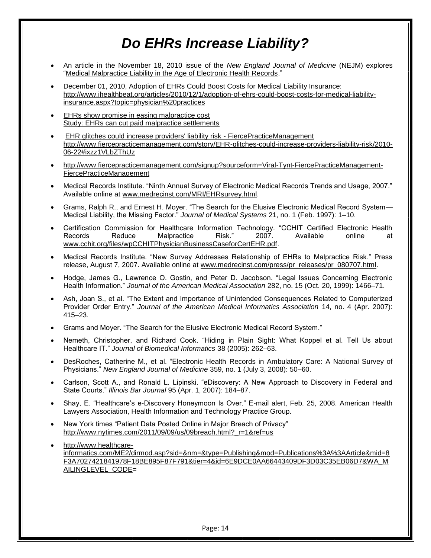- An article in the November 18, 2010 issue of the *New England Journal of Medicine* (NEJM) explores "Medical Malpractice Liability in the Age of Electronic Health Records."
- December 01, 2010, Adoption of EHRs Could Boost Costs for Medical Liability Insurance: [http://www.ihealthbeat.org/articles/2010/12/1/adoption-of-ehrs-could-boost-costs-for-medical-liability](http://www.ihealthbeat.org/articles/2010/12/1/adoption-of-ehrs-could-boost-costs-for-medical-liability-insurance.aspx?topic=physician%20practices)[insurance.aspx?topic=physician%20practices](http://www.ihealthbeat.org/articles/2010/12/1/adoption-of-ehrs-could-boost-costs-for-medical-liability-insurance.aspx?topic=physician%20practices)
- [EHRs show promise in easing malpractice cost](http://www.fiercehealthcare.com/story/emrs-show-promise-easing-malpractice-cost/2007-08-09) [Study: EHRs can cut paid malpractice settlements](http://www.fiercehealthit.com/story/study-emrs-can-cut-paid-malpractice-settlements/2008-11-30)
- [EHR glitches could increase providers' liability risk -](http://www.fiercepracticemanagement.com/story/emr-glitches-could-increase-providers-liability-risk/2010-06-22#ixzz1VLbZThUz) FiercePracticeManagement [http://www.fiercepracticemanagement.com/story/EHR-glitches-could-increase-providers-liability-risk/2010-](http://www.fiercepracticemanagement.com/story/emr-glitches-could-increase-providers-liability-risk/2010-06-22#ixzz1VLbZThUz) [06-22#ixzz1VLbZThUz](http://www.fiercepracticemanagement.com/story/emr-glitches-could-increase-providers-liability-risk/2010-06-22#ixzz1VLbZThUz)
- [http://www.fiercepracticemanagement.com/signup?sourceform=Viral-Tynt-FiercePracticeManagement-](http://www.fiercepracticemanagement.com/signup?sourceform=Viral-Tynt-FiercePracticeManagement-FiercePracticeManagement)[FiercePracticeManagement](http://www.fiercepracticemanagement.com/signup?sourceform=Viral-Tynt-FiercePracticeManagement-FiercePracticeManagement)
- Medical Records Institute. "Ninth Annual Survey of Electronic Medical Records Trends and Usage, 2007." Available online at [www.medrecinst.com/MRI/EHRsurvey.html.](http://www.medrecinst.com/MRI/emrsurvey.html)
- Grams, Ralph R., and Ernest H. Mover. "The Search for the Elusive Electronic Medical Record System— Medical Liability, the Missing Factor.‖ *Journal of Medical Systems* 21, no. 1 (Feb. 1997): 1–10.
- Certification Commission for Healthcare Information Technology. "CCHIT Certified Electronic Health Records Reduce Malpractice Risk." 2007. Available online at [www.cchit.org/files/wpCCHITPhysicianBusinessCaseforCertEHR.pdf.](http://www.cchit.org/files/wpCCHITPhysicianBusinessCaseforCertEHR.pdf)
- Medical Records Institute. "New Survey Addresses Relationship of EHRs to Malpractice Risk." Press release, August 7, 2007. Available online at [www.medrecinst.com/press/pr\\_releases/pr\\_080707.html.](http://www.medrecinst.com/press/pr_releases/pr_080707.html)
- Hodge, James G., Lawrence O. Gostin, and Peter D. Jacobson. "Legal Issues Concerning Electronic Health Information.‖ *Journal of the American Medical Association* 282, no. 15 (Oct. 20, 1999): 1466–71.
- Ash, Joan S., et al. "The Extent and Importance of Unintended Consequences Related to Computerized Provider Order Entry.‖ *Journal of the American Medical Informatics Association* 14, no. 4 (Apr. 2007): 415–23.
- Grams and Moyer. "The Search for the Elusive Electronic Medical Record System."
- Nemeth, Christopher, and Richard Cook. "Hiding in Plain Sight: What Koppel et al. Tell Us about Healthcare IT.‖ *Journal of Biomedical Informatics* 38 (2005): 262–63.
- DesRoches, Catherine M., et al. "Electronic Health Records in Ambulatory Care: A National Survey of Physicians.‖ *New England Journal of Medicine* 359, no. 1 (July 3, 2008): 50–60.
- Carlson, Scott A., and Ronald L. Lipinski. "eDiscovery: A New Approach to Discovery in Federal and State Courts.‖ *Illinois Bar Journal* 95 (Apr. 1, 2007): 184–87.
- Shay, E. "Healthcare's e-Discovery Honeymoon Is Over." E-mail alert, Feb. 25, 2008. American Health Lawyers Association, Health Information and Technology Practice Group.
- New York times "Patient Data Posted Online in Major Breach of Privacy" [http://www.nytimes.com/2011/09/09/us/09breach.html?\\_r=1&ref=us](http://www.nytimes.com/2011/09/09/us/09breach.html?_r=1&ref=us)
- [http://www.healthcare](http://www.healthcare-informatics.com/ME2/dirmod.asp?sid=&nm=&type=Publishing&mod=Publications%3A%3AArticle&mid=8F3A7027421841978F18BE895F87F791&tier=4&id=6E9DCE0AA66443409DF3D03C35EB06D7&WA_MAILINGLEVEL_CODE)[informatics.com/ME2/dirmod.asp?sid=&nm=&type=Publishing&mod=Publications%3A%3AArticle&mid=8](http://www.healthcare-informatics.com/ME2/dirmod.asp?sid=&nm=&type=Publishing&mod=Publications%3A%3AArticle&mid=8F3A7027421841978F18BE895F87F791&tier=4&id=6E9DCE0AA66443409DF3D03C35EB06D7&WA_MAILINGLEVEL_CODE) [F3A7027421841978F18BE895F87F791&tier=4&id=6E9DCE0AA66443409DF3D03C35EB06D7&WA\\_M](http://www.healthcare-informatics.com/ME2/dirmod.asp?sid=&nm=&type=Publishing&mod=Publications%3A%3AArticle&mid=8F3A7027421841978F18BE895F87F791&tier=4&id=6E9DCE0AA66443409DF3D03C35EB06D7&WA_MAILINGLEVEL_CODE) [AILINGLEVEL\\_CODE=](http://www.healthcare-informatics.com/ME2/dirmod.asp?sid=&nm=&type=Publishing&mod=Publications%3A%3AArticle&mid=8F3A7027421841978F18BE895F87F791&tier=4&id=6E9DCE0AA66443409DF3D03C35EB06D7&WA_MAILINGLEVEL_CODE)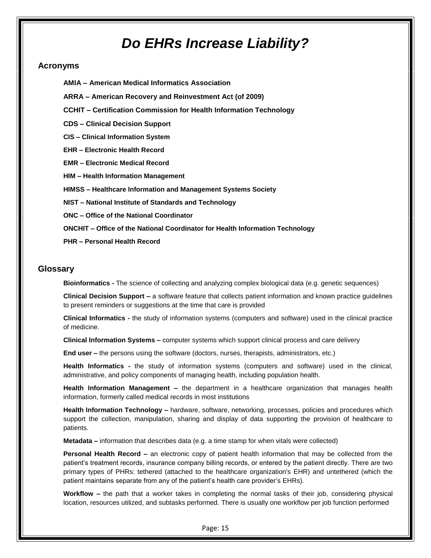#### **Acronyms**

- **AMIA – American Medical Informatics Association**
- **ARRA – American Recovery and Reinvestment Act (of 2009)**
- **CCHIT – Certification Commission for Health Information Technology**
- **CDS – Clinical Decision Support**
- **CIS – Clinical Information System**
- **EHR – Electronic Health Record**
- **EMR – Electronic Medical Record**
- **HIM – Health Information Management**
- **HIMSS – Healthcare Information and Management Systems Society**
- **NIST – National Institute of Standards and Technology**
- **ONC – Office of the National Coordinator**

**ONCHIT – Office of the National Coordinator for Health Information Technology**

**PHR – Personal Health Record**

#### **Glossary**

**Bioinformatics -** The science of collecting and analyzing complex biological data (e.g. genetic sequences)

**Clinical Decision Support –** a software feature that collects patient information and known practice guidelines to present reminders or suggestions at the time that care is provided

**Clinical Informatics -** the study of information systems (computers and software) used in the clinical practice of medicine.

**Clinical Information Systems –** computer systems which support clinical process and care delivery

**End user –** the persons using the software (doctors, nurses, therapists, administrators, etc.)

**Health Informatics -** the study of information systems (computers and software) used in the clinical, administrative, and policy components of managing health, including population health.

**Health Information Management –** the department in a healthcare organization that manages health information, formerly called medical records in most institutions

**Health Information Technology –** hardware, software, networking, processes, policies and procedures which support the collection, manipulation, sharing and display of data supporting the provision of healthcare to patients.

**Metadata –** information that describes data (e.g. a time stamp for when vitals were collected)

**Personal Health Record –** an electronic copy of patient health information that may be collected from the patient's treatment records, insurance company billing records, or entered by the patient directly. There are two primary types of PHRs: tethered (attached to the healthcare organization's EHR) and untethered (which the patient maintains separate from any of the patient's health care provider's EHRs).

**Workflow –** the path that a worker takes in completing the normal tasks of their job, considering physical location, resources utilized, and subtasks performed. There is usually one workflow per job function performed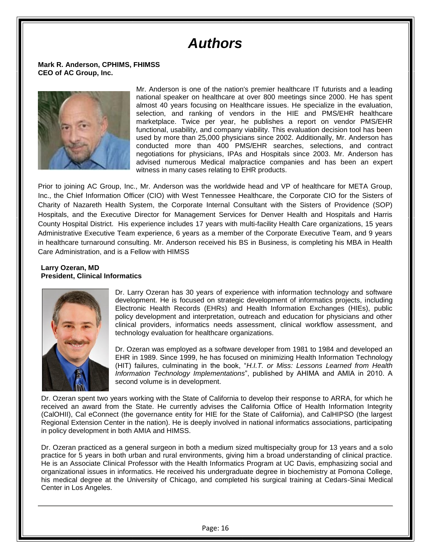## *Authors*

**Mark R. Anderson, CPHIMS, FHIMSS CEO of AC Group, Inc.**



Mr. Anderson is one of the nation's premier healthcare IT futurists and a leading national speaker on healthcare at over 800 meetings since 2000. He has spent almost 40 years focusing on Healthcare issues. He specialize in the evaluation, selection, and ranking of vendors in the HIE and PMS/EHR healthcare marketplace. Twice per year, he publishes a report on vendor PMS/EHR functional, usability, and company viability. This evaluation decision tool has been used by more than 25,000 physicians since 2002. Additionally, Mr. Anderson has conducted more than 400 PMS/EHR searches, selections, and contract negotiations for physicians, IPAs and Hospitals since 2003. Mr. Anderson has advised numerous Medical malpractice companies and has been an expert witness in many cases relating to EHR products.

Prior to joining AC Group, Inc., Mr. Anderson was the worldwide head and VP of healthcare for META Group, Inc., the Chief Information Officer (CIO) with West Tennessee Healthcare, the Corporate CIO for the Sisters of Charity of Nazareth Health System, the Corporate Internal Consultant with the Sisters of Providence (SOP) Hospitals, and the Executive Director for Management Services for Denver Health and Hospitals and Harris County Hospital District. His experience includes 17 years with multi-facility Health Care organizations, 15 years Administrative Executive Team experience, 6 years as a member of the Corporate Executive Team, and 9 years in healthcare turnaround consulting. Mr. Anderson received his BS in Business, is completing his MBA in Health Care Administration, and is a Fellow with HIMSS

#### **Larry Ozeran, MD President, Clinical Informatics**



Dr. Larry Ozeran has 30 years of experience with information technology and software development. He is focused on strategic development of informatics projects, including Electronic Health Records (EHRs) and Health Information Exchanges (HIEs), public policy development and interpretation, outreach and education for physicians and other clinical providers, informatics needs assessment, clinical workflow assessment, and technology evaluation for healthcare organizations.

Dr. Ozeran was employed as a software developer from 1981 to 1984 and developed an EHR in 1989. Since 1999, he has focused on minimizing Health Information Technology (HIT) failures, culminating in the book, ―*H.I.T. or Miss: Lessons Learned from Health Information Technology Implementations*‖, published by AHIMA and AMIA in 2010. A second volume is in development.

Dr. Ozeran spent two years working with the State of California to develop their response to ARRA, for which he received an award from the State. He currently advises the California Office of Health Information Integrity (CalOHII), Cal eConnect (the governance entity for HIE for the State of California), and CalHIPSO (the largest Regional Extension Center in the nation). He is deeply involved in national informatics associations, participating in policy development in both AMIA and HIMSS.

Dr. Ozeran practiced as a general surgeon in both a medium sized multispecialty group for 13 years and a solo practice for 5 years in both urban and rural environments, giving him a broad understanding of clinical practice. He is an Associate Clinical Professor with the Health Informatics Program at UC Davis, emphasizing social and organizational issues in informatics. He received his undergraduate degree in biochemistry at Pomona College, his medical degree at the University of Chicago, and completed his surgical training at Cedars-Sinai Medical Center in Los Angeles.